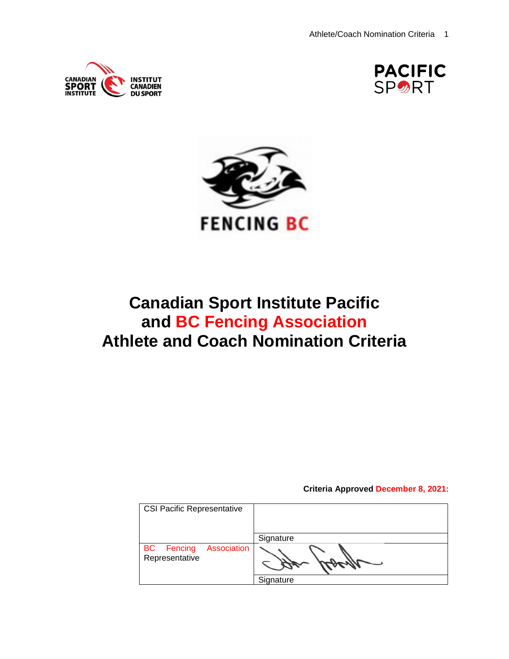





# **Canadian Sport Institute Pacific and BC Fencing Association Athlete and Coach Nomination Criteria**

**Criteria Approved December 8, 2021:** 

| <b>CSI Pacific Representative</b>                  |           |
|----------------------------------------------------|-----------|
|                                                    | Signature |
| <b>BC</b> Fencing<br>Association<br>Representative |           |
|                                                    | Signature |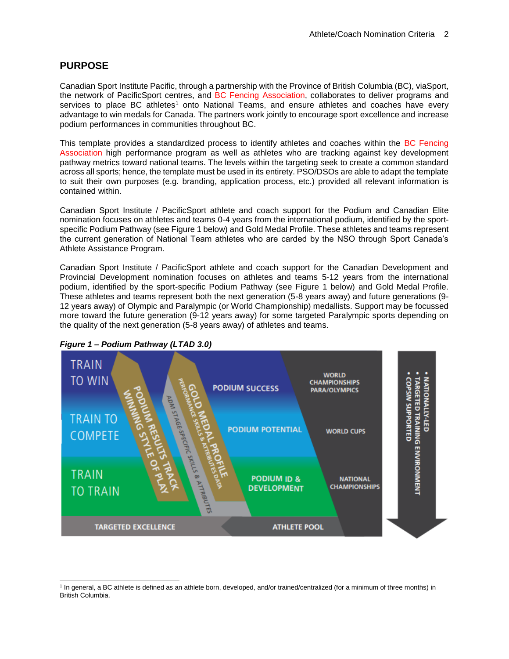# **PURPOSE**

Canadian Sport Institute Pacific, through a partnership with the Province of British Columbia (BC), viaSport, the network of PacificSport centres, and BC Fencing Association, collaborates to deliver programs and services to place BC athletes<sup>1</sup> onto National Teams, and ensure athletes and coaches have every advantage to win medals for Canada. The partners work jointly to encourage sport excellence and increase podium performances in communities throughout BC.

This template provides a standardized process to identify athletes and coaches within the BC Fencing Association high performance program as well as athletes who are tracking against key development pathway metrics toward national teams. The levels within the targeting seek to create a common standard across all sports; hence, the template must be used in its entirety. PSO/DSOs are able to adapt the template to suit their own purposes (e.g. branding, application process, etc.) provided all relevant information is contained within.

Canadian Sport Institute / PacificSport athlete and coach support for the Podium and Canadian Elite nomination focuses on athletes and teams 0-4 years from the international podium, identified by the sportspecific Podium Pathway (see Figure 1 below) and Gold Medal Profile. These athletes and teams represent the current generation of National Team athletes who are carded by the NSO through Sport Canada's Athlete Assistance Program.

Canadian Sport Institute / PacificSport athlete and coach support for the Canadian Development and Provincial Development nomination focuses on athletes and teams 5-12 years from the international podium, identified by the sport-specific Podium Pathway (see Figure 1 below) and Gold Medal Profile. These athletes and teams represent both the next generation (5-8 years away) and future generations (9- 12 years away) of Olympic and Paralympic (or World Championship) medallists. Support may be focussed more toward the future generation (9-12 years away) for some targeted Paralympic sports depending on the quality of the next generation (5-8 years away) of athletes and teams.



*Figure 1 – Podium Pathway (LTAD 3.0)*

l <sup>1</sup> In general, a BC athlete is defined as an athlete born, developed, and/or trained/centralized (for a minimum of three months) in British Columbia.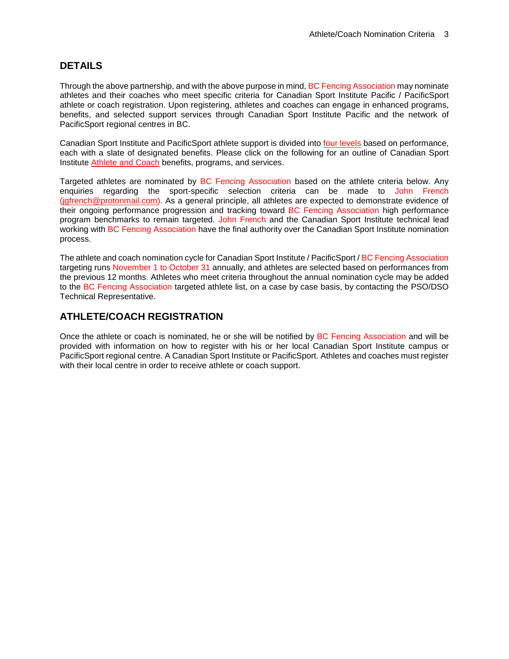# **DETAILS**

Through the above partnership, and with the above purpose in mind, BC Fencing Association may nominate athletes and their coaches who meet specific criteria for Canadian Sport Institute Pacific / PacificSport athlete or coach registration. Upon registering, athletes and coaches can engage in enhanced programs, benefits, and selected support services through Canadian Sport Institute Pacific and the network of [PacificSport r](http://www.cscpacific.ca/Content/Locations/Index.asp?langid=1)egional centres in BC.

Canadian Sport Institute and PacificSport athlete support is divided into [four levels](http://www.csipacific.ca/athletes/eligibility/) based on performance, each with a slate of designated benefits. Please click on the following for an outline of Canadian Sport Institute [Athlete and Coach](https://www.csipacific.ca/athletes/) benefits, programs, and services.

Targeted athletes are nominated by BC Fencing Association based on the athlete criteria below. Any enquiries regarding the sport-specific selection criteria can be made to John French [\(jgfrench@protonmail.com\)](mailto:jgfrench@protonmail.com). As a general principle, all athletes are expected to demonstrate evidence of their ongoing performance progression and tracking toward BC Fencing Association high performance program benchmarks to remain targeted. John French and the Canadian Sport Institute technical lead working with BC Fencing Association have the final authority over the Canadian Sport Institute nomination process.

The athlete and coach nomination cycle for Canadian Sport Institute / PacificSport / BC Fencing Association targeting runs November 1 to October 31 annually, and athletes are selected based on performances from the previous 12 months. Athletes who meet criteria throughout the annual nomination cycle may be added to the BC Fencing Association targeted athlete list, on a case by case basis, by contacting the PSO/DSO Technical Representative.

# **ATHLETE/COACH REGISTRATION**

Once the athlete or coach is nominated, he or she will be notified by BC Fencing Association and will be provided with information on how to register with his or her local Canadian Sport Institute campus or PacificSport regional centre. A Canadian Sport Institute or PacificSport. Athletes and coaches must register with their local centre in order to receive athlete or coach support.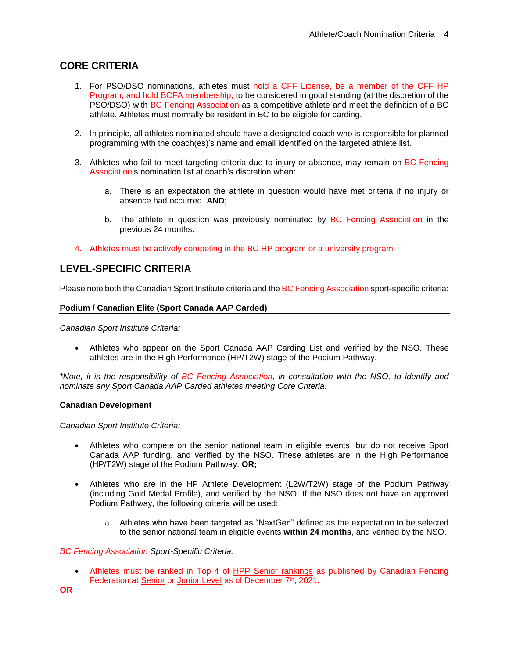# **CORE CRITERIA**

- 1. For PSO/DSO nominations, athletes must hold a CFF License, be a member of the CFF HP Program, and hold BCFA membership, to be considered in good standing (at the discretion of the PSO/DSO) with BC Fencing Association as a competitive athlete and meet the definition of a BC athlete. Athletes must normally be resident in BC to be eligible for carding.
- 2. In principle, all athletes nominated should have a designated coach who is responsible for planned programming with the coach(es)'s name and email identified on the targeted athlete list.
- 3. Athletes who fail to meet targeting criteria due to injury or absence, may remain on BC Fencing Association's nomination list at coach's discretion when:
	- a. There is an expectation the athlete in question would have met criteria if no injury or absence had occurred. **AND;**
	- b. The athlete in question was previously nominated by BC Fencing Association in the previous 24 months.
- 4. Athletes must be actively competing in the BC HP program or a university program

# **LEVEL-SPECIFIC CRITERIA**

Please note both the Canadian Sport Institute criteria and the BC Fencing Association sport-specific criteria:

#### **Podium / Canadian Elite (Sport Canada AAP Carded)**

*Canadian Sport Institute Criteria:*

 Athletes who appear on the Sport Canada AAP Carding List and verified by the NSO. These athletes are in the High Performance (HP/T2W) stage of the Podium Pathway.

*\*Note, it is the responsibility of BC Fencing Association, in consultation with the NSO, to identify and nominate any Sport Canada AAP Carded athletes meeting Core Criteria.*

#### **Canadian Development**

*Canadian Sport Institute Criteria:*

- Athletes who compete on the senior national team in eligible events, but do not receive Sport Canada AAP funding, and verified by the NSO. These athletes are in the High Performance (HP/T2W) stage of the Podium Pathway. **OR;**
- Athletes who are in the HP Athlete Development (L2W/T2W) stage of the Podium Pathway (including Gold Medal Profile), and verified by the NSO. If the NSO does not have an approved Podium Pathway, the following criteria will be used:
	- $\circ$  Athletes who have been targeted as "NextGen" defined as the expectation to be selected to the senior national team in eligible events **within 24 months**, and verified by the NSO.

#### *BC Fencing Association Sport-Specific Criteria:*

• Athletes must be ranked in Top 4 of [HPP Senior rankings](http://fencing.ca/hpp-selection-rankings/) as published by Canadian Fencing Federation at [Senior](http://fencing.ca/wp-content/uploads/2017-18-Senior-Booklet-FINAL.pdf) or [Junior Level](http://fencing.ca/wp-content/uploads/2016-2018_Junior-Booklet_FINAL_ENG.-2016.09.27.pdf) as of December 7<sup>th</sup>, 2021.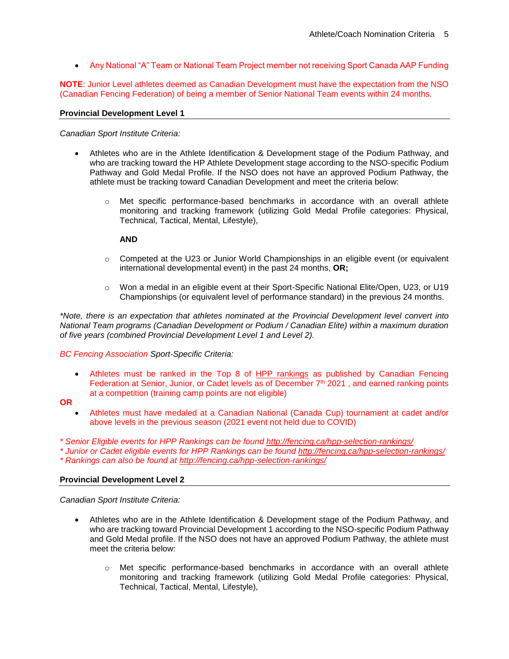Any National "A" Team or National Team Project member not receiving Sport Canada AAP Funding

**NOTE**: Junior Level athletes deemed as Canadian Development must have the expectation from the NSO (Canadian Fencing Federation) of being a member of Senior National Team events within 24 months.

#### **Provincial Development Level 1**

*Canadian Sport Institute Criteria:*

- Athletes who are in the Athlete Identification & Development stage of the Podium Pathway, and who are tracking toward the HP Athlete Development stage according to the NSO-specific Podium Pathway and Gold Medal Profile. If the NSO does not have an approved Podium Pathway, the athlete must be tracking toward Canadian Development and meet the criteria below:
	- o Met specific performance-based benchmarks in accordance with an overall athlete monitoring and tracking framework (utilizing Gold Medal Profile categories: Physical, Technical, Tactical, Mental, Lifestyle),

#### **AND**

- $\circ$  Competed at the U23 or Junior World Championships in an eligible event (or equivalent international developmental event) in the past 24 months, **OR;**
- o Won a medal in an eligible event at their Sport-Specific National Elite/Open, U23, or U19 Championships (or equivalent level of performance standard) in the previous 24 months.

*\*Note, there is an expectation that athletes nominated at the Provincial Development level convert into National Team programs (Canadian Development or Podium / Canadian Elite) within a maximum duration of five years (combined Provincial Development Level 1 and Level 2).*

## *BC Fencing Association Sport-Specific Criteria:*

• Athletes must be ranked in the Top 8 of [HPP rankings](http://fencing.ca/hpp-selection-rankings/) as published by Canadian Fencing Federation at Senior, Junior, or Cadet levels as of December 7<sup>th</sup> 2021, and earned ranking points at a competition (training camp points are not eligible)

# **OR**

- Athletes must have medaled at a Canadian National (Canada Cup) tournament at cadet and/or above levels in the previous season (2021 event not held due to COVID)
- *\* Senior Eligible events for HPP Rankings can be found<http://fencing.ca/hpp-selection-rankings/>*

*\* Junior or Cadet eligible events for HPP Rankings can be found<http://fencing.ca/hpp-selection-rankings/> \* Rankings can also be found at<http://fencing.ca/hpp-selection-rankings/>*

## **Provincial Development Level 2**

*Canadian Sport Institute Criteria:*

- Athletes who are in the Athlete Identification & Development stage of the Podium Pathway, and who are tracking toward Provincial Development 1 according to the NSO-specific Podium Pathway and Gold Medal profile. If the NSO does not have an approved Podium Pathway, the athlete must meet the criteria below:
	- o Met specific performance-based benchmarks in accordance with an overall athlete monitoring and tracking framework (utilizing Gold Medal Profile categories: Physical, Technical, Tactical, Mental, Lifestyle),